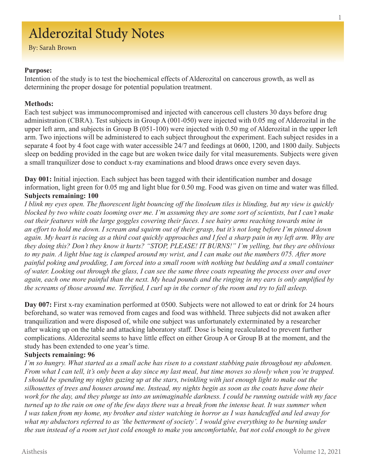# Alderozital Study Notes

By: Sarah Brown

#### **Purpose:**

Intention of the study is to test the biochemical effects of Alderozital on cancerous growth, as well as determining the proper dosage for potential population treatment.

#### **Methods:**

Each test subject was immunocompromised and injected with cancerous cell clusters 30 days before drug administration (CBRA). Test subjects in Group A (001-050) were injected with 0.05 mg of Alderozital in the upper left arm, and subjects in Group B (051-100) were injected with 0.50 mg of Alderozital in the upper left arm. Two injections will be administered to each subject throughout the experiment. Each subject resides in a separate 4 foot by 4 foot cage with water accessible 24/7 and feedings at 0600, 1200, and 1800 daily. Subjects sleep on bedding provided in the cage but are woken twice daily for vital measurements. Subjects were given a small tranquilizer dose to conduct x-ray examinations and blood draws once every seven days.

**Day 001:** Initial injection. Each subject has been tagged with their identification number and dosage information, light green for 0.05 mg and light blue for 0.50 mg. Food was given on time and water was filled. **Subjects remaining: 100**

*I blink my eyes open. The fluorescent light bouncing off the linoleum tiles is blinding, but my view is quickly blocked by two white coats looming over me. I'm assuming they are some sort of scientists, but I can't make out their features with the large goggles covering their faces. I see hairy arms reaching towards mine in an effort to hold me down. I scream and squirm out of their grasp, but it's not long before I'm pinned down again. My heart is racing as a third coat quickly approaches and I feel a sharp pain in my left arm. Why are they doing this? Don't they know it hurts? "STOP, PLEASE! IT BURNS!" I'm yelling, but they are oblivious to my pain. A light blue tag is clamped around my wrist, and I can make out the numbers 075. After more painful poking and prodding, I am forced into a small room with nothing but bedding and a small container of water. Looking out through the glass, I can see the same three coats repeating the process over and over again, each one more painful than the next. My head pounds and the ringing in my ears is only amplified by the screams of those around me. Terrified, I curl up in the corner of the room and try to fall asleep.* 

**Day 007:** First x-ray examination performed at 0500. Subjects were not allowed to eat or drink for 24 hours beforehand, so water was removed from cages and food was withheld. Three subjects did not awaken after tranquilization and were disposed of, while one subject was unfortunately exterminated by a researcher after waking up on the table and attacking laboratory staff. Dose is being recalculated to prevent further complications. Alderozital seems to have little effect on either Group A or Group B at the moment, and the study has been extended to one year's time.

### **Subjects remaining: 96**

*I'm so hungry. What started as a small ache has risen to a constant stabbing pain throughout my abdomen. From what I can tell, it's only been a day since my last meal, but time moves so slowly when you're trapped. I should be spending my nights gazing up at the stars, twinkling with just enough light to make out the silhouettes of trees and houses around me. Instead, my nights begin as soon as the coats have done their work for the day, and they plunge us into an unimaginable darkness. I could be running outside with my face turned up to the rain on one of the few days there was a break from the intense heat. It was summer when I was taken from my home, my brother and sister watching in horror as I was handcuffed and led away for what my abductors referred to as 'the betterment of society'. I would give everything to be burning under the sun instead of a room set just cold enough to make you uncomfortable, but not cold enough to be given*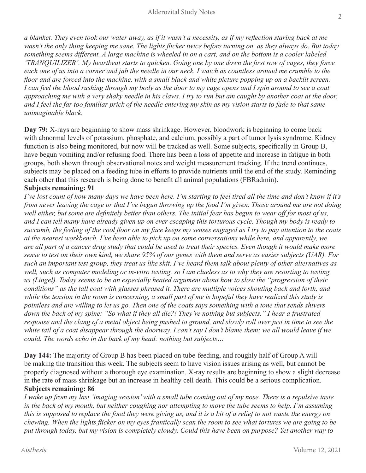*a blanket. They even took our water away, as if it wasn't a necessity, as if my reflection staring back at me wasn't the only thing keeping me sane. The lights flicker twice before turning on, as they always do. But today something seems different. A large machine is wheeled in on a cart, and on the bottom is a cooler labeled 'TRANQUILIZER'. My heartbeat starts to quicken. Going one by one down the first row of cages, they force each one of us into a corner and jab the needle in our neck. I watch as countless around me crumble to the floor and are forced into the machine, with a small black and white picture popping up on a backlit screen. I can feel the blood rushing through my body as the door to my cage opens and I spin around to see a coat approaching me with a very shaky needle in his claws. I try to run but am caught by another coat at the door, and I feel the far too familiar prick of the needle entering my skin as my vision starts to fade to that same unimaginable black.* 

**Day 79:** X-rays are beginning to show mass shrinkage. However, bloodwork is beginning to come back with abnormal levels of potassium, phosphate, and calcium, possibly a part of tumor lysis syndrome. Kidney function is also being monitored, but now will be tracked as well. Some subjects, specifically in Group B, have begun vomiting and/or refusing food. There has been a loss of appetite and increase in fatigue in both groups, both shown through observational notes and weight measurement tracking. If the trend continues, subjects may be placed on a feeding tube in efforts to provide nutrients until the end of the study. Reminding each other that this research is being done to benefit all animal populations (FBRadmin).

# **Subjects remaining: 91**

*I've lost count of how many days we have been here. I'm starting to feel tired all the time and don't know if it's from never leaving the cage or that I've begun throwing up the food I'm given. Those around me are not doing*  well either, but some are definitely better than others. The initial fear has begun to wear off for most of us, *and I can tell many have already given up on ever escaping this torturous cycle. Though my body is ready to succumb, the feeling of the cool floor on my face keeps my senses engaged as I try to pay attention to the coats at the nearest workbench. I've been able to pick up on some conversations while here, and apparently, we are all part of a cancer drug study that could be used to treat their species. Even though it would make more sense to test on their own kind, we share 95% of our genes with them and serve as easier subjects (UAR). For such an important test group, they treat us like shit. I've heard them talk about plenty of other alternatives as well, such as computer modeling or in-vitro testing, so I am clueless as to why they are resorting to testing us (Lingel). Today seems to be an especially heated argument about how to slow the "progression of their*  conditions" as the tall coat with glasses phrased it. There are multiple voices shouting back and forth, and while the tension in the room is concerning, a small part of me is hopeful they have realized this study is *pointless and are willing to let us go. Then one of the coats says something with a tone that sends shivers down the back of my spine: "So what if they all die?! They're nothing but subjects." I hear a frustrated response and the clang of a metal object being pushed to ground, and slowly roll over just in time to see the* white tail of a coat disappear through the doorway. I can't say I don't blame them; we all would leave if we *could. The words echo in the back of my head: nothing but subjects…* 

**Day 144:** The majority of Group B has been placed on tube-feeding, and roughly half of Group A will be making the transition this week. The subjects seem to have vision issues arising as well, but cannot be properly diagnosed without a thorough eye examination. X-ray results are beginning to show a slight decrease in the rate of mass shrinkage but an increase in healthy cell death. This could be a serious complication. **Subjects remaining: 86**

*I wake up from my last 'imaging session' with a small tube coming out of my nose. There is a repulsive taste in the back of my mouth, but neither coughing nor attempting to move the tube seems to help. I'm assuming this is supposed to replace the food they were giving us, and it is a bit of a relief to not waste the energy on chewing. When the lights flicker on my eyes frantically scan the room to see what tortures we are going to be put through today, but my vision is completely cloudy. Could this have been on purpose? Yet another way to*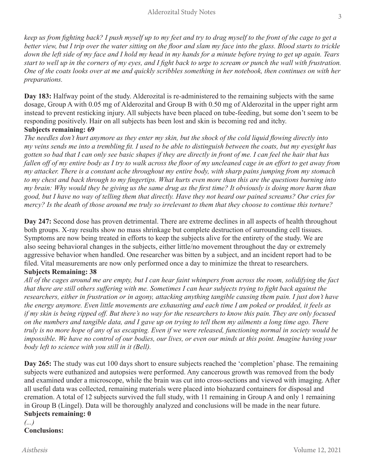*keep us from fighting back? I push myself up to my feet and try to drag myself to the front of the cage to get a better view, but I trip over the water sitting on the floor and slam my face into the glass. Blood starts to trickle down the left side of my face and I hold my head in my hands for a minute before trying to get up again. Tears start to well up in the corners of my eyes, and I fight back to urge to scream or punch the wall with frustration. One of the coats looks over at me and quickly scribbles something in her notebook, then continues on with her preparations.* 

**Day 183:** Halfway point of the study. Alderozital is re-administered to the remaining subjects with the same dosage, Group A with 0.05 mg of Alderozital and Group B with 0.50 mg of Alderozital in the upper right arm instead to prevent resticking injury. All subjects have been placed on tube-feeding, but some don't seem to be responding positively. Hair on all subjects has been lost and skin is becoming red and itchy. **Subjects remaining: 69** 

*The needles don't hurt anymore as they enter my skin, but the shock of the cold liquid flowing directly into my veins sends me into a trembling fit. I used to be able to distinguish between the coats, but my eyesight has gotten so bad that I can only see basic shapes if they are directly in front of me. I can feel the hair that has*  fallen off of my entire body as I try to walk across the floor of my uncleaned cage in an effort to get away from *my attacker. There is a constant ache throughout my entire body, with sharp pains jumping from my stomach to my chest and back through to my fingertips. What hurts even more than this are the questions burning into my brain: Why would they be giving us the same drug as the first time? It obviously is doing more harm than good, but I have no way of telling them that directly. Have they not heard our pained screams? Our cries for mercy? Is the death of those around me truly so irrelevant to them that they choose to continue this torture?* 

**Day 247:** Second dose has proven detrimental. There are extreme declines in all aspects of health throughout both groups. X-ray results show no mass shrinkage but complete destruction of surrounding cell tissues. Symptoms are now being treated in efforts to keep the subjects alive for the entirety of the study. We are also seeing behavioral changes in the subjects, either little/no movement throughout the day or extremely aggressive behavior when handled. One researcher was bitten by a subject, and an incident report had to be filed. Vital measurements are now only performed once a day to minimize the threat to researchers.

# **Subjects Remaining: 38**

*All of the cages around me are empty, but I can hear faint whimpers from across the room, solidifying the fact that there are still others suffering with me. Sometimes I can hear subjects trying to fight back against the researchers, either in frustration or in agony, attacking anything tangible causing them pain. I just don't have the energy anymore. Even little movements are exhausting and each time I am poked or prodded, it feels as if my skin is being ripped off. But there's no way for the researchers to know this pain. They are only focused on the numbers and tangible data, and I gave up on trying to tell them my ailments a long time ago. There truly is no more hope of any of us escaping. Even if we were released, functioning normal in society would be impossible. We have no control of our bodies, our lives, or even our minds at this point. Imagine having your body left to science with you still in it (Bell).*

**Day 265:** The study was cut 100 days short to ensure subjects reached the 'completion' phase. The remaining subjects were euthanized and autopsies were performed. Any cancerous growth was removed from the body and examined under a microscope, while the brain was cut into cross-sections and viewed with imaging. After all useful data was collected, remaining materials were placed into biohazard containers for disposal and cremation. A total of 12 subjects survived the full study, with 11 remaining in Group A and only 1 remaining in Group B (Lingel). Data will be thoroughly analyzed and conclusions will be made in the near future. **Subjects remaining: 0**

#### *(...)* **Conclusions:**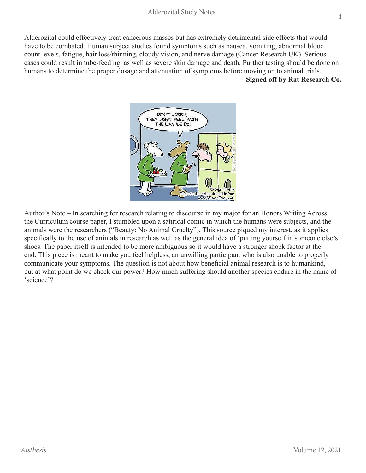Alderozital could effectively treat cancerous masses but has extremely detrimental side effects that would have to be combated. Human subject studies found symptoms such as nausea, vomiting, abnormal blood count levels, fatigue, hair loss/thinning, cloudy vision, and nerve damage (Cancer Research UK). Serious cases could result in tube-feeding, as well as severe skin damage and death. Further testing should be done on humans to determine the proper dosage and attenuation of symptoms before moving on to animal trials. **Signed off by Rat Research Co.** 



Author's Note – In searching for research relating to discourse in my major for an Honors Writing Across the Curriculum course paper, I stumbled upon a satirical comic in which the humans were subjects, and the animals were the researchers ("Beauty: No Animal Cruelty"). This source piqued my interest, as it applies specifically to the use of animals in research as well as the general idea of 'putting yourself in someone else's shoes. The paper itself is intended to be more ambiguous so it would have a stronger shock factor at the end. This piece is meant to make you feel helpless, an unwilling participant who is also unable to properly communicate your symptoms. The question is not about how beneficial animal research is to humankind, but at what point do we check our power? How much suffering should another species endure in the name of 'science'?